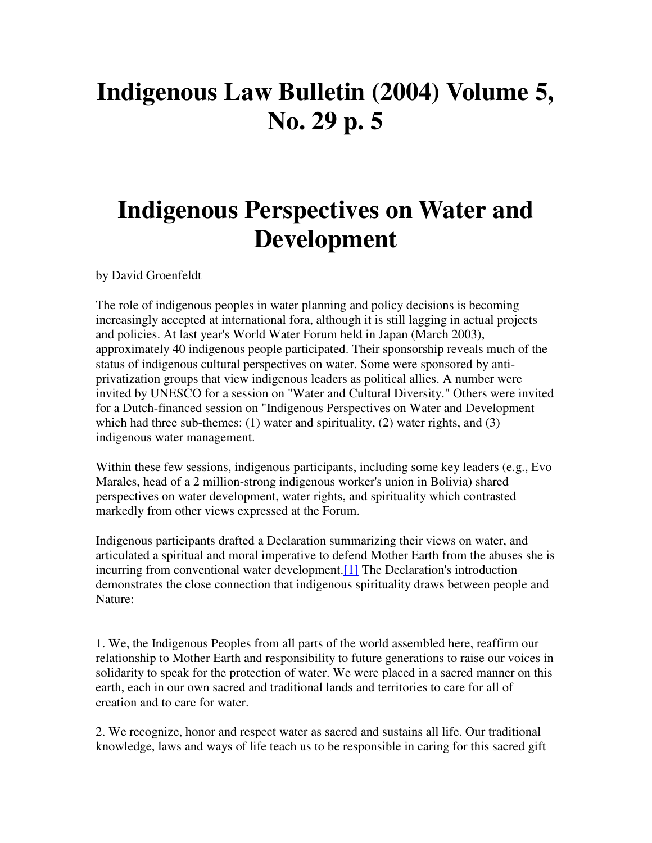## **Indigenous Law Bulletin (2004) Volume 5, No. 29 p. 5**

## **Indigenous Perspectives on Water and Development**

by David Groenfeldt

The role of indigenous peoples in water planning and policy decisions is becoming increasingly accepted at international fora, although it is still lagging in actual projects and policies. At last year's World Water Forum held in Japan (March 2003), approximately 40 indigenous people participated. Their sponsorship reveals much of the status of indigenous cultural perspectives on water. Some were sponsored by antiprivatization groups that view indigenous leaders as political allies. A number were invited by UNESCO for a session on "Water and Cultural Diversity." Others were invited for a Dutch-financed session on "Indigenous Perspectives on Water and Development which had three sub-themes:  $(1)$  water and spirituality,  $(2)$  water rights, and  $(3)$ indigenous water management.

Within these few sessions, indigenous participants, including some key leaders (e.g., Evo Marales, head of a 2 million-strong indigenous worker's union in Bolivia) shared perspectives on water development, water rights, and spirituality which contrasted markedly from other views expressed at the Forum.

Indigenous participants drafted a Declaration summarizing their views on water, and articulated a spiritual and moral imperative to defend Mother Earth from the abuses she is incurring from conventional water development.[1] The Declaration's introduction demonstrates the close connection that indigenous spirituality draws between people and Nature:

1. We, the Indigenous Peoples from all parts of the world assembled here, reaffirm our relationship to Mother Earth and responsibility to future generations to raise our voices in solidarity to speak for the protection of water. We were placed in a sacred manner on this earth, each in our own sacred and traditional lands and territories to care for all of creation and to care for water.

2. We recognize, honor and respect water as sacred and sustains all life. Our traditional knowledge, laws and ways of life teach us to be responsible in caring for this sacred gift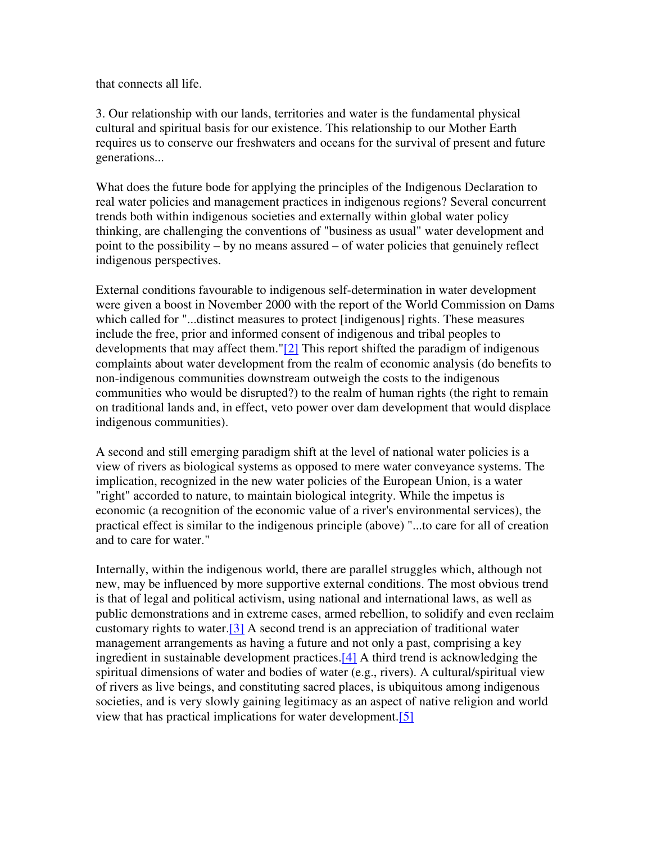that connects all life.

3. Our relationship with our lands, territories and water is the fundamental physical cultural and spiritual basis for our existence. This relationship to our Mother Earth requires us to conserve our freshwaters and oceans for the survival of present and future generations...

What does the future bode for applying the principles of the Indigenous Declaration to real water policies and management practices in indigenous regions? Several concurrent trends both within indigenous societies and externally within global water policy thinking, are challenging the conventions of "business as usual" water development and point to the possibility – by no means assured – of water policies that genuinely reflect indigenous perspectives.

External conditions favourable to indigenous self-determination in water development were given a boost in November 2000 with the report of the World Commission on Dams which called for "...distinct measures to protect [indigenous] rights. These measures include the free, prior and informed consent of indigenous and tribal peoples to developments that may affect them." $[2]$  This report shifted the paradigm of indigenous complaints about water development from the realm of economic analysis (do benefits to non-indigenous communities downstream outweigh the costs to the indigenous communities who would be disrupted?) to the realm of human rights (the right to remain on traditional lands and, in effect, veto power over dam development that would displace indigenous communities).

A second and still emerging paradigm shift at the level of national water policies is a view of rivers as biological systems as opposed to mere water conveyance systems. The implication, recognized in the new water policies of the European Union, is a water "right" accorded to nature, to maintain biological integrity. While the impetus is economic (a recognition of the economic value of a river's environmental services), the practical effect is similar to the indigenous principle (above) "...to care for all of creation and to care for water."

Internally, within the indigenous world, there are parallel struggles which, although not new, may be influenced by more supportive external conditions. The most obvious trend is that of legal and political activism, using national and international laws, as well as public demonstrations and in extreme cases, armed rebellion, to solidify and even reclaim customary rights to water.[3] A second trend is an appreciation of traditional water management arrangements as having a future and not only a past, comprising a key ingredient in sustainable development practices.[4] A third trend is acknowledging the spiritual dimensions of water and bodies of water (e.g., rivers). A cultural/spiritual view of rivers as live beings, and constituting sacred places, is ubiquitous among indigenous societies, and is very slowly gaining legitimacy as an aspect of native religion and world view that has practical implications for water development.[5]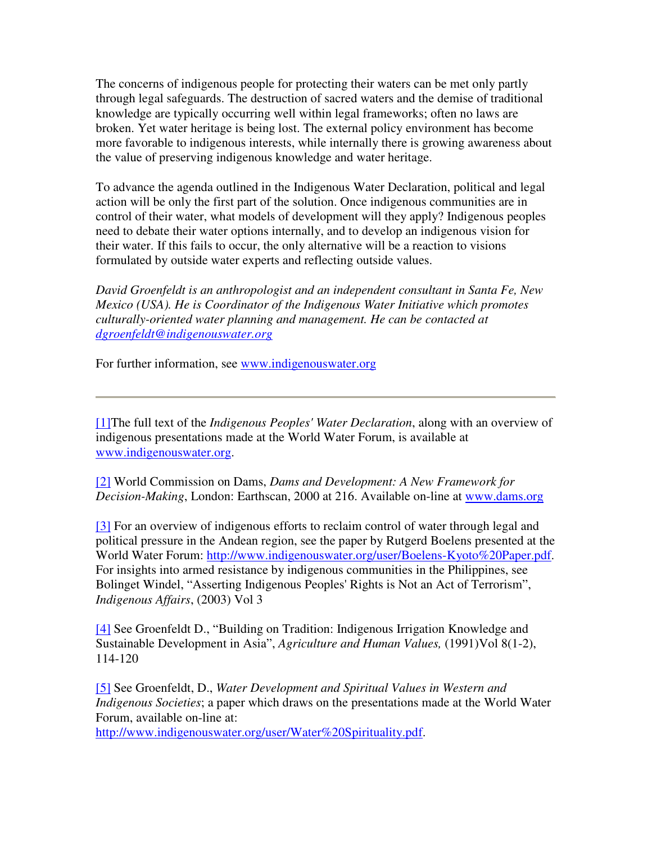The concerns of indigenous people for protecting their waters can be met only partly through legal safeguards. The destruction of sacred waters and the demise of traditional knowledge are typically occurring well within legal frameworks; often no laws are broken. Yet water heritage is being lost. The external policy environment has become more favorable to indigenous interests, while internally there is growing awareness about the value of preserving indigenous knowledge and water heritage.

To advance the agenda outlined in the Indigenous Water Declaration, political and legal action will be only the first part of the solution. Once indigenous communities are in control of their water, what models of development will they apply? Indigenous peoples need to debate their water options internally, and to develop an indigenous vision for their water. If this fails to occur, the only alternative will be a reaction to visions formulated by outside water experts and reflecting outside values.

*David Groenfeldt is an anthropologist and an independent consultant in Santa Fe, New Mexico (USA). He is Coordinator of the Indigenous Water Initiative which promotes culturally-oriented water planning and management. He can be contacted at dgroenfeldt@indigenouswater.org*

For further information, see www.indigenouswater.org

[1]The full text of the *Indigenous Peoples' Water Declaration*, along with an overview of indigenous presentations made at the World Water Forum, is available at www.indigenouswater.org.

[2] World Commission on Dams, *Dams and Development: A New Framework for Decision-Making*, London: Earthscan, 2000 at 216. Available on-line at www.dams.org

[3] For an overview of indigenous efforts to reclaim control of water through legal and political pressure in the Andean region, see the paper by Rutgerd Boelens presented at the World Water Forum: http://www.indigenouswater.org/user/Boelens-Kyoto%20Paper.pdf. For insights into armed resistance by indigenous communities in the Philippines, see Bolinget Windel, "Asserting Indigenous Peoples' Rights is Not an Act of Terrorism", *Indigenous Affairs*, (2003) Vol 3

[4] See Groenfeldt D., "Building on Tradition: Indigenous Irrigation Knowledge and Sustainable Development in Asia", *Agriculture and Human Values,* (1991)Vol 8(1-2), 114-120

[5] See Groenfeldt, D., *Water Development and Spiritual Values in Western and Indigenous Societies*; a paper which draws on the presentations made at the World Water Forum, available on-line at:

http://www.indigenouswater.org/user/Water%20Spirituality.pdf.